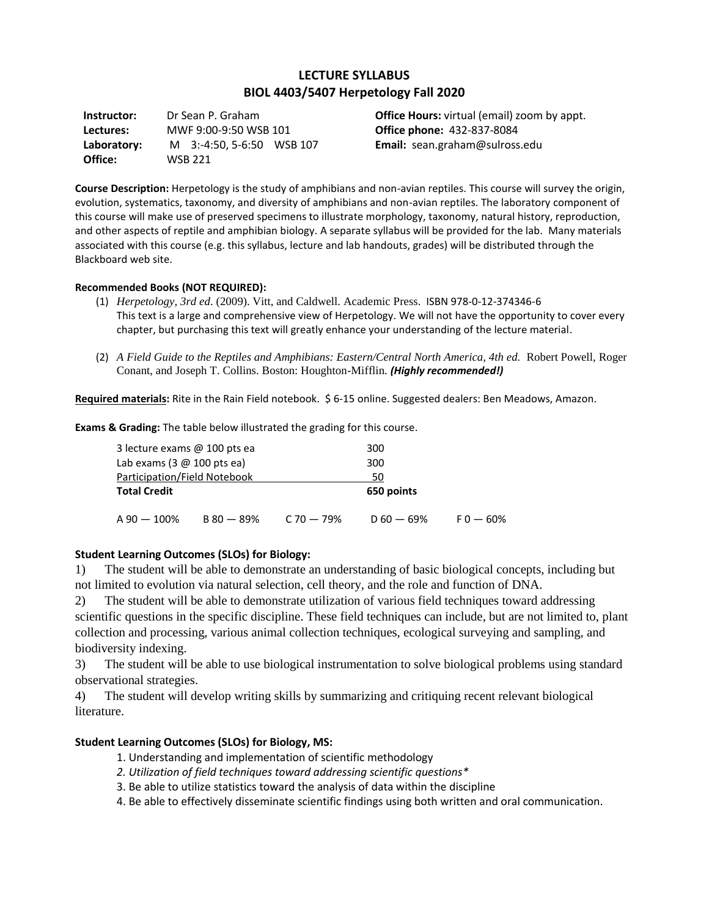# **LECTURE SYLLABUS BIOL 4403/5407 Herpetology Fall 2020**

**Instructor:** Dr Sean P. Graham **Lectures:** MWF 9:00-9:50 WSB 101 **Laboratory:** M 3:-4:50, 5-6:50 WSB 107 **Office:** WSB 221

**Office Hours:** virtual (email) zoom by appt. **Office phone:** 432-837-8084 **Email:** sean.graham@sulross.edu

**Course Description:** Herpetology is the study of amphibians and non-avian reptiles. This course will survey the origin, evolution, systematics, taxonomy, and diversity of amphibians and non-avian reptiles. The laboratory component of this course will make use of preserved specimens to illustrate morphology, taxonomy, natural history, reproduction, and other aspects of reptile and amphibian biology. A separate syllabus will be provided for the lab. Many materials associated with this course (e.g. this syllabus, lecture and lab handouts, grades) will be distributed through the Blackboard web site.

#### **Recommended Books (NOT REQUIRED):**

- (1) *Herpetology, 3rd ed*. (2009). Vitt, and Caldwell. Academic Press. ISBN 978-0-12-374346-6 This text is a large and comprehensive view of Herpetology. We will not have the opportunity to cover every chapter, but purchasing this text will greatly enhance your understanding of the lecture material.
- (2) *A Field Guide to the Reptiles and Amphibians: Eastern/Central North America, 4th ed.* Robert Powell, Roger Conant, and Joseph T. Collins. Boston: Houghton-Mifflin. *(Highly recommended!)*

**Required materials:** Rite in the Rain Field notebook. \$ 6-15 online. Suggested dealers: Ben Meadows, Amazon.

**Exams & Grading:** The table below illustrated the grading for this course.

| 3 lecture exams @ 100 pts ea                                |              |            | 300          |             |
|-------------------------------------------------------------|--------------|------------|--------------|-------------|
| Lab exams $(3 \text{ } \textcircled{a} 100 \text{ pts}$ ea) |              | 300        |              |             |
| Participation/Field Notebook                                |              |            | 50           |             |
| <b>Total Credit</b>                                         |              |            | 650 points   |             |
| $A 90 - 100\%$                                              | $B 80 - 89%$ | C 70 — 79% | $D 60 - 69%$ | $F0 - 60\%$ |

#### **Student Learning Outcomes (SLOs) for Biology:**

1) The student will be able to demonstrate an understanding of basic biological concepts, including but not limited to evolution via natural selection, cell theory, and the role and function of DNA.

2) The student will be able to demonstrate utilization of various field techniques toward addressing scientific questions in the specific discipline. These field techniques can include, but are not limited to, plant collection and processing, various animal collection techniques, ecological surveying and sampling, and biodiversity indexing.

3) The student will be able to use biological instrumentation to solve biological problems using standard observational strategies.

4) The student will develop writing skills by summarizing and critiquing recent relevant biological literature.

#### **Student Learning Outcomes (SLOs) for Biology, MS:**

- 1. Understanding and implementation of scientific methodology
- *2. Utilization of field techniques toward addressing scientific questions\**
- 3. Be able to utilize statistics toward the analysis of data within the discipline
- 4. Be able to effectively disseminate scientific findings using both written and oral communication.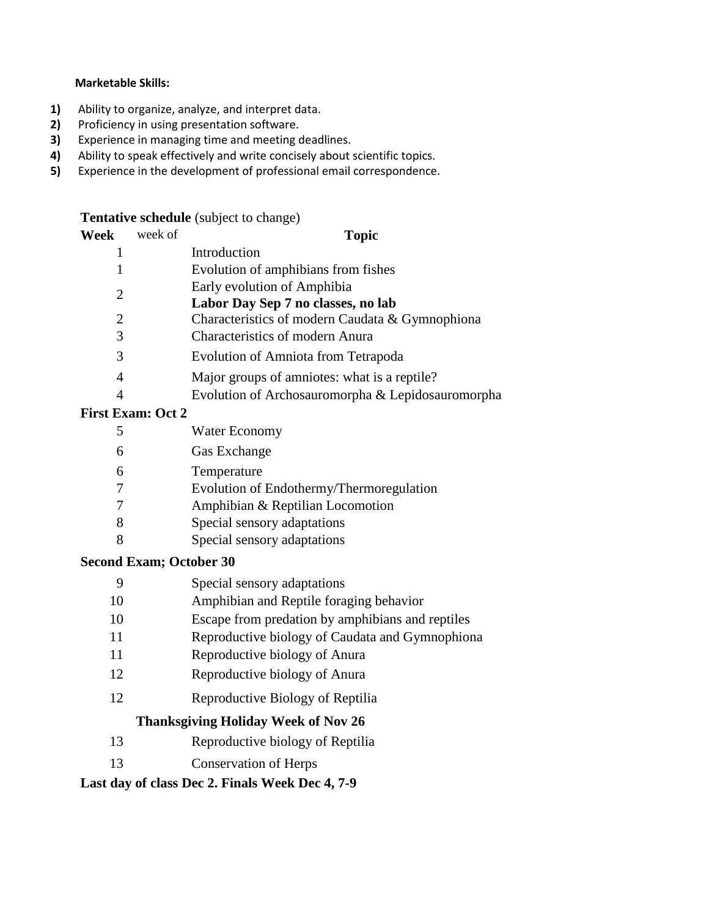## **Marketable Skills:**

- **1)** Ability to organize, analyze, and interpret data.
- **2)** Proficiency in using presentation software.
- **3)** Experience in managing time and meeting deadlines.
- **4)** Ability to speak effectively and write concisely about scientific topics.
- **5)** Experience in the development of professional email correspondence.

## **Tentative schedule** (subject to change)

| Week | week of                                   | <b>Topic</b>                                      |
|------|-------------------------------------------|---------------------------------------------------|
|      |                                           | Introduction                                      |
|      |                                           | Evolution of amphibians from fishes               |
|      | Early evolution of Amphibia               |                                                   |
| 2    |                                           | Labor Day Sep 7 no classes, no lab                |
| 2    |                                           | Characteristics of modern Caudata & Gymnophiona   |
| 3    |                                           | <b>Characteristics of modern Anura</b>            |
| 3    |                                           | Evolution of Amniota from Tetrapoda               |
| 4    |                                           | Major groups of amniotes: what is a reptile?      |
| 4    |                                           | Evolution of Archosauromorpha & Lepidosauromorpha |
|      | $\Gamma$ ingt $\Gamma$ vam: $\Omega$ ot 2 |                                                   |

# **First Exam: Oct 2**

|  | Water Economy |
|--|---------------|
|--|---------------|

- Gas Exchange
- Temperature
- Evolution of Endothermy/Thermoregulation
- Amphibian & Reptilian Locomotion
- Special sensory adaptations
- Special sensory adaptations

# **Second Exam; October 30**

- Amphibian and Reptile foraging behavior
- Escape from predation by amphibians and reptiles
- Reproductive biology of Caudata and Gymnophiona
- Reproductive biology of Anura
- Reproductive biology of Anura
- Reproductive Biology of Reptilia

# **Thanksgiving Holiday Week of Nov 26**

- Reproductive biology of Reptilia
- Conservation of Herps

# **Last day of class Dec 2. Finals Week Dec 4, 7-9**